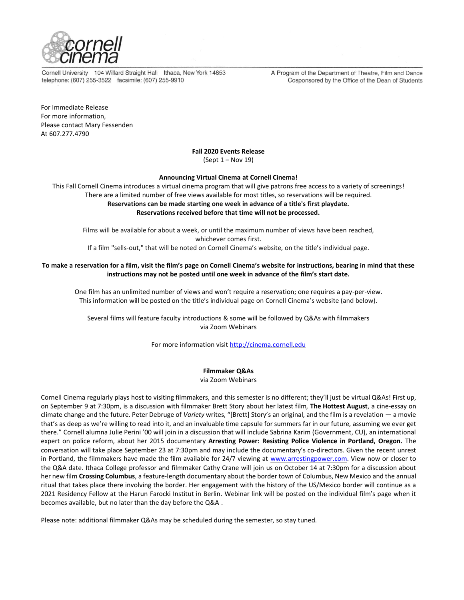

Cornell University 104 Willard Straight Hall Ithaca, New York 14853 telephone: (607) 255-3522 facsimile: (607) 255-9910

A Program of the Department of Theatre, Film and Dance Cosponsored by the Office of the Dean of Students

For Immediate Release For more information, Please contact Mary Fessenden At 607.277.4790

## **Fall 2020 Events Release**

(Sept 1 – Nov 19)

## **Announcing Virtual Cinema at Cornell Cinema!**

This Fall Cornell Cinema introduces a virtual cinema program that will give patrons free access to a variety of screenings! There are a limited number of free views available for most titles, so reservations will be required. **Reservations can be made starting one week in advance of a title's first playdate. Reservations received before that time will not be processed.**

Films will be available for about a week, or until the maximum number of views have been reached, whichever comes first.

If a film "sells-out," that will be noted on Cornell Cinema's website, on the title's individual page.

## **To make a reservation for a film, visit the film's page on Cornell Cinema's website for instructions, bearing in mind that these instructions may not be posted until one week in advance of the film's start date.**

One film has an unlimited number of views and won't require a reservation; one requires a pay-per-view. This information will be posted on the title's individual page on Cornell Cinema's website (and below).

Several films will feature faculty introductions & some will be followed by Q&As with filmmakers via Zoom Webinars

For more information visi[t http://cinema.cornell.edu](http://cinema.cornell.edu/)

## **Filmmaker Q&As**

via Zoom Webinars

Cornell Cinema regularly plays host to visiting filmmakers, and this semester is no different; they'll just be virtual Q&As! First up, on September 9 at 7:30pm, is a discussion with filmmaker Brett Story about her latest film, **The Hottest August**, a cine-essay on climate change and the future. Peter Debruge of *Variety* writes, "[Brett] Story's an original, and the film is a revelation — a movie that's as deep as we're willing to read into it, and an invaluable time capsule for summers far in our future, assuming we ever get there." Cornell alumna Julie Perini '00 will join in a discussion that will include Sabrina Karim (Government, CU), an international expert on police reform, about her 2015 documentary **Arresting Power: Resisting Police Violence in Portland, Oregon.** The conversation will take place September 23 at 7:30pm and may include the documentary's co-directors. Given the recent unrest in Portland, the filmmakers have made the film available for 24/7 viewing at [www.arrestingpower.com.](http://www.arrestingpower.com/) View now or closer to the Q&A date. Ithaca College professor and filmmaker Cathy Crane will join us on October 14 at 7:30pm for a discussion about her new film **Crossing Columbus**, a feature-length documentary about the border town of Columbus, New Mexico and the annual ritual that takes place there involving the border. Her engagement with the history of the US/Mexico border will continue as a 2021 Residency Fellow at the Harun Farocki Institut in Berlin. Webinar link will be posted on the individual film's page when it becomes available, but no later than the day before the Q&A .

Please note: additional filmmaker Q&As may be scheduled during the semester, so stay tuned.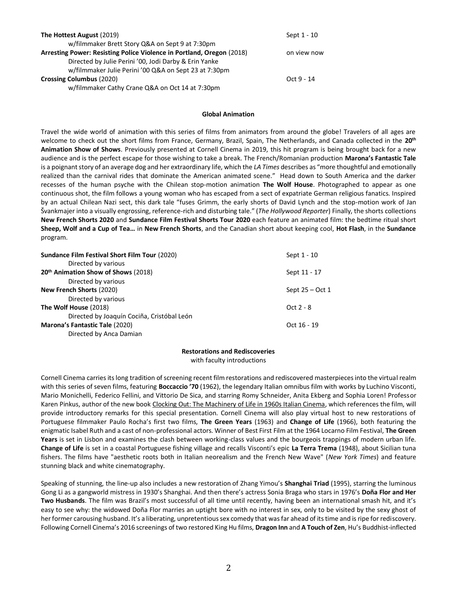| The Hottest August (2019)                                             | Sept 1 - 10  |
|-----------------------------------------------------------------------|--------------|
| w/filmmaker Brett Story Q&A on Sept 9 at 7:30pm                       |              |
| Arresting Power: Resisting Police Violence in Portland, Oregon (2018) | on view now  |
| Directed by Julie Perini '00, Jodi Darby & Erin Yanke                 |              |
| w/filmmaker Julie Perini '00 Q&A on Sept 23 at 7:30pm                 |              |
| <b>Crossing Columbus (2020)</b>                                       | $Oct 9 - 14$ |
| w/filmmaker Cathy Crane Q&A on Oct 14 at 7:30pm                       |              |

### **Global Animation**

Travel the wide world of animation with this series of films from animators from around the globe! Travelers of all ages are welcome to check out the short films from France, Germany, Brazil, Spain, The Netherlands, and Canada collected in the **20th Animation Show of Shows**. Previously presented at Cornell Cinema in 2019, this hit program is being brought back for a new audience and is the perfect escape for those wishing to take a break. The French/Romanian production **Marona's Fantastic Tale** is a poignant story of an average dog and her extraordinary life, which the *LA Times* describes as "more thoughtful and emotionally realized than the carnival rides that dominate the American animated scene." Head down to South America and the darker recesses of the human psyche with the Chilean stop-motion animation **The Wolf House**. Photographed to appear as one continuous shot, the film follows a young woman who has escaped from a sect of expatriate German religious fanatics. Inspired by an actual Chilean Nazi sect, this dark tale "fuses Grimm, the early shorts of David Lynch and the stop-motion work of Jan Švankmajer into a visually engrossing, reference-rich and disturbing tale." (*The Hollywood Reporter*) Finally, the shorts collections **New French Shorts 2020** and **Sundance Film Festival Shorts Tour 2020** each feature an animated film: the bedtime ritual short **Sheep, Wolf and a Cup of Tea…** in **New French Shorts**, and the Canadian short about keeping cool, **Hot Flash**, in the **Sundance** program.

| <b>Sundance Film Festival Short Film Tour (2020)</b> | Sept 1 - 10     |
|------------------------------------------------------|-----------------|
| Directed by various                                  |                 |
| 20 <sup>th</sup> Animation Show of Shows (2018)      | Sept 11 - 17    |
| Directed by various                                  |                 |
| <b>New French Shorts (2020)</b>                      | Sept 25 – Oct 1 |
| Directed by various                                  |                 |
| The Wolf House (2018)                                | Oct $2 - 8$     |
| Directed by Joaquín Cociña, Cristóbal León           |                 |
| Marona's Fantastic Tale (2020)                       | Oct 16 - 19     |
| Directed by Anca Damian                              |                 |

## **Restorations and Rediscoveries**

with faculty introductions

Cornell Cinema carries its long tradition of screening recent film restorations and rediscovered masterpieces into the virtual realm with this series of seven films, featuring **Boccaccio '70** (1962), the legendary Italian omnibus film with works by Luchino Visconti, Mario Monichelli, Federico Fellini, and Vittorio De Sica, and starring Romy Schneider, Anita Ekberg and Sophia Loren! Professor Karen Pinkus, author of the new book Clocking Out: The Machinery of Life in 1960s Italian Cinema, which references the film, will provide introductory remarks for this special presentation. Cornell Cinema will also play virtual host to new restorations of Portuguese filmmaker Paulo Rocha's first two films, **The Green Years** (1963) and **Change of Life** (1966), both featuring the enigmatic Isabel Ruth and a cast of non-professional actors. Winner of Best First Film at the 1964 Locarno Film Festival, **The Green Years** is set in Lisbon and examines the clash between working-class values and the bourgeois trappings of modern urban life. **Change of Life** is set in a coastal Portuguese fishing village and recalls Visconti's epic **La Terra Trema** (1948), about Sicilian tuna fishers. The films have "aesthetic roots both in Italian neorealism and the French New Wave" (*New York Times*) and feature stunning black and white cinematography.

Speaking of stunning, the line-up also includes a new restoration of Zhang Yimou's **Shanghai Triad** (1995), starring the luminous Gong Li as a gangworld mistress in 1930's Shanghai. And then there's actress Sonia Braga who stars in 1976's **Doña Flor and Her Two Husbands**. The film was Brazil's most successful of all time until recently, having been an international smash hit, and it's easy to see why: the widowed Doña Flor marries an uptight bore with no interest in sex, only to be visited by the sexy ghost of her former carousing husband. It's a liberating, unpretentious sex comedy that was far ahead of its time and is ripe for rediscovery. Following Cornell Cinema's 2016 screenings of two restored King Hu films, **Dragon Inn** and **A Touch of Zen**, Hu's Buddhist-inflected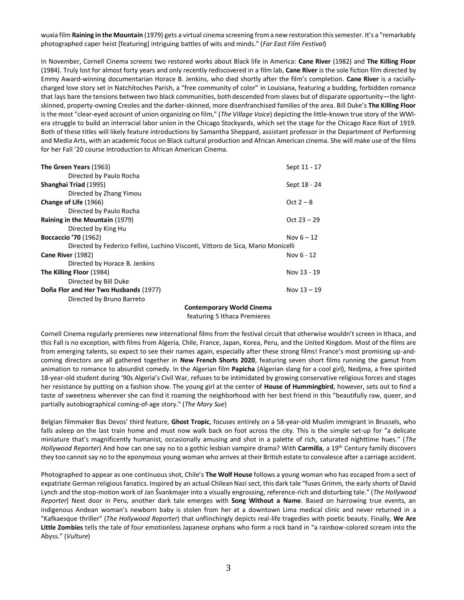wuxia film **Raining in the Mountain** (1979) gets a virtual cinema screening from a new restoration this semester. It's a "remarkably photographed caper heist [featuring] intriguing battles of wits and minds." (*Far East Film Festival*)

In November, Cornell Cinema screens two restored works about Black life in America: **Cane River** (1982) and **The Killing Floor**  (1984). Truly lost for almost forty years and only recently rediscovered in a film lab, **Cane River** is the sole fiction film directed by Emmy Award-winning documentarian Horace B. Jenkins, who died shortly after the film's completion. **Cane River** is a raciallycharged love story set in Natchitoches Parish, a "free community of color" in Louisiana, featuring a budding, forbidden romance that lays bare the tensions between two black communities, both descended from slaves but of disparate opportunity—the lightskinned, property-owning Creoles and the darker-skinned, more disenfranchised families of the area. Bill Duke's **The Killing Floor** is the most "clear-eyed account of union organizing on film," (*The Village Voice*) depicting the little-known true story of the WWIera struggle to build an interracial labor union in the Chicago Stockyards, which set the stage for the Chicago Race Riot of 1919. Both of these titles will likely feature introductions by Samantha Sheppard, assistant professor in the Department of Performing and Media Arts, with an academic focus on Black cultural production and African American cinema. She will make use of the films for her Fall '20 course Introduction to African American Cinema.

| The Green Years (1963)                                                           | Sept 11 - 17  |
|----------------------------------------------------------------------------------|---------------|
| Directed by Paulo Rocha                                                          |               |
| Shanghai Triad (1995)                                                            | Sept 18 - 24  |
| Directed by Zhang Yimou                                                          |               |
| Change of Life (1966)                                                            | Oct $2 - 8$   |
| Directed by Paulo Rocha                                                          |               |
| Raining in the Mountain (1979)                                                   | Oct $23 - 29$ |
| Directed by King Hu                                                              |               |
| <b>Boccaccio '70 (1962)</b>                                                      | Nov $6 - 12$  |
| Directed by Federico Fellini, Luchino Visconti, Vittoro de Sica, Mario Monicelli |               |
| Cane River (1982)                                                                | Nov $6 - 12$  |
| Directed by Horace B. Jenkins                                                    |               |
| The Killing Floor (1984)                                                         | Nov 13 - 19   |
| Directed by Bill Duke                                                            |               |
| Doña Flor and Her Two Husbands (1977)                                            | Nov $13 - 19$ |
| Directed by Bruno Barreto                                                        |               |
| Cantanananam: Wauld Cinama                                                       |               |

**Contemporary World Cinema** featuring 5 Ithaca Premieres

Cornell Cinema regularly premieres new international films from the festival circuit that otherwise wouldn't screen in Ithaca, and this Fall is no exception, with films from Algeria, Chile, France, Japan, Korea, Peru, and the United Kingdom. Most of the films are from emerging talents, so expect to see their names again, especially after these strong films! France's most promising up-andcoming directors are all gathered together in **New French Shorts 2020**, featuring seven short films running the gamut from animation to romance to absurdist comedy. In the Algerian film **Papicha** (Algerian slang for a cool girl), Nedjma, a free spirited 18-year-old student during '90s Algeria's Civil War, refuses to be intimidated by growing conservative religious forces and stages her resistance by putting on a fashion show. The young girl at the center of **House of Hummingbird**, however, sets out to find a taste of sweetness wherever she can find it roaming the neighborhood with her best friend in this "beautifully raw, queer, and partially autobiographical coming-of-age story." (*The Mary Sue*)

Belgian filmmaker Bas Devos' third feature, **Ghost Tropic**, focuses entirely on a 58-year-old Muslim immigrant in Brussels, who falls asleep on the last train home and must now walk back on foot across the city. This is the simple set-up for "a delicate miniature that's magnificently humanist, occasionally amusing and shot in a palette of rich, saturated nighttime hues." (*The Hollywood Reporter*) And how can one say no to a gothic lesbian vampire drama? With **Carmilla**, a 19th Century family discovers they too cannot say no to the eponymous young woman who arrives at their British estate to convalesce after a carriage accident.

Photographed to appear as one continuous shot, Chile's **The Wolf House** follows a young woman who has escaped from a sect of expatriate German religious fanatics. Inspired by an actual Chilean Nazi sect, this dark tale "fuses Grimm, the early shorts of David Lynch and the stop-motion work of Jan Švankmajer into a visually engrossing, reference-rich and disturbing tale." (*The Hollywood Reporter*) Next door in Peru, another dark tale emerges with **Song Without a Name**. Based on harrowing true events, an indigenous Andean woman's newborn baby is stolen from her at a downtown Lima medical clinic and never returned in a "Kafkaesque thriller" (*The Hollywood Reporter*) that unflinchingly depicts real-life tragedies with poetic beauty. Finally, **We Are Little Zombies** tells the tale of four emotionless Japanese orphans who form a rock band in "a rainbow-colored scream into the Abyss." (*Vulture*)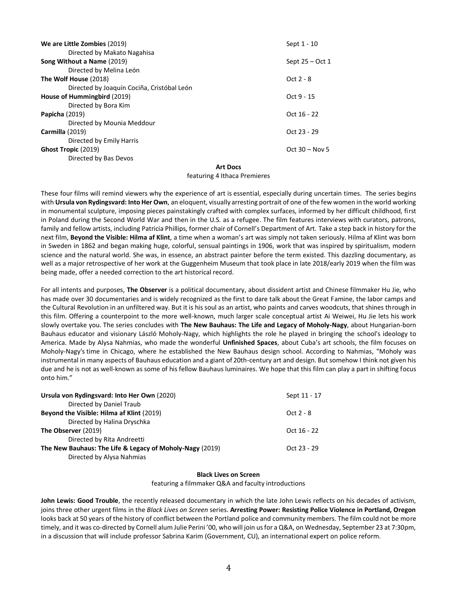| We are Little Zombies (2019)               | Sept 1 - 10      |
|--------------------------------------------|------------------|
| Directed by Makato Nagahisa                |                  |
| Song Without a Name (2019)                 | Sept 25 – Oct 1  |
| Directed by Melina León                    |                  |
| The Wolf House (2018)                      | Oct 2 - 8        |
| Directed by Joaquín Cociña, Cristóbal León |                  |
| House of Hummingbird (2019)                | Oct 9 - 15       |
| Directed by Bora Kim                       |                  |
| <b>Papicha</b> (2019)                      | Oct 16 - 22      |
| Directed by Mounia Meddour                 |                  |
| Carmilla (2019)                            | Oct 23 - 29      |
| Directed by Emily Harris                   |                  |
| Ghost Tropic (2019)                        | Oct $30 -$ Nov 5 |
| Directed by Bas Devos                      |                  |
|                                            |                  |

### **Art Docs**

#### featuring 4 Ithaca Premieres

These four films will remind viewers why the experience of art is essential, especially during uncertain times. The series begins with **Ursula von Rydingsvard: Into Her Own**, an eloquent, visually arresting portrait of one of the few women in the world working in monumental sculpture, imposing pieces painstakingly crafted with complex surfaces, informed by her difficult childhood, first in Poland during the Second World War and then in the U.S. as a refugee. The film features interviews with curators, patrons, family and fellow artists, including Patricia Phillips, former chair of Cornell's Department of Art. Take a step back in history for the next film, **Beyond the Visible: Hilma af Klint**, a time when a woman's art was simply not taken seriously. Hilma af Klint was born in Sweden in 1862 and began making huge, colorful, sensual paintings in 1906, work that was inspired by spiritualism, modern science and the natural world. She was, in essence, an abstract painter before the term existed. This dazzling documentary, as well as a major retrospective of her work at the Guggenheim Museum that took place in late 2018/early 2019 when the film was being made, offer a needed correction to the art historical record.

For all intents and purposes, **The Observer** is a political documentary, about dissident artist and Chinese filmmaker Hu Jie, who has made over 30 documentaries and is widely recognized as the first to dare talk about the Great Famine, the labor camps and the Cultural Revolution in an unfiltered way. But it is his soul as an artist, who paints and carves woodcuts, that shines through in this film. Offering a counterpoint to the more well-known, much larger scale conceptual artist Ai Weiwei, Hu Jie lets his work slowly overtake you. The series concludes with **The New Bauhaus: The Life and Legacy of Moholy-Nagy**, about Hungarian-born Bauhaus educator and visionary László Moholy-Nagy, which highlights the role he played in bringing the school's ideology to America. Made by Alysa Nahmias, who made the wonderful **Unfinished Spaces**, about Cuba's art schools, the film focuses on Moholy-Nagy's time in Chicago, where he established the New Bauhaus design school. According to Nahmias, "Moholy was instrumental in many aspects of Bauhaus education and a giant of 20th-century art and design. But somehow I think not given his due and he is not as well-known as some of his fellow Bauhaus luminaires. We hope that this film can play a part in shifting focus onto him."

| Ursula von Rydingsvard: Into Her Own (2020)              | Sept 11 - 17  |
|----------------------------------------------------------|---------------|
| Directed by Daniel Traub                                 |               |
| Beyond the Visible: Hilma af Klint (2019)                | $Oct 2 - 8$   |
| Directed by Halina Dryschka                              |               |
| The Observer (2019)                                      | Oct $16 - 22$ |
| Directed by Rita Andreetti                               |               |
| The New Bauhaus: The Life & Legacy of Moholy-Nagy (2019) | $Ort 23 - 29$ |
| Directed by Alysa Nahmias                                |               |

## **Black Lives on Screen**

featuring a filmmaker Q&A and faculty introductions

**John Lewis: Good Trouble**, the recently released documentary in which the late John Lewis reflects on his decades of activism, joins three other urgent films in the *Black Lives on Screen* series. **Arresting Power: Resisting Police Violence in Portland, Oregon** looks back at 50 years of the history of conflict between the Portland police and community members. The film could not be more timely, and it was co-directed by Cornell alum Julie Perini '00, who will join us for a Q&A, on Wednesday, September 23 at 7:30pm, in a discussion that will include professor Sabrina Karim (Government, CU), an international expert on police reform.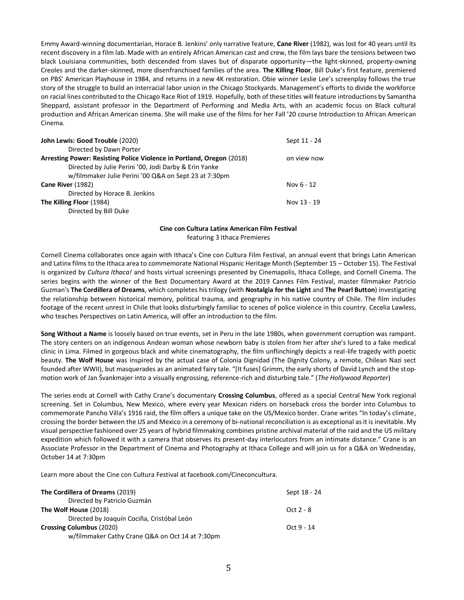Emmy Award-winning documentarian, Horace B. Jenkins' only narrative feature, **Cane River** (1982), was lost for 40 years until its recent discovery in a film lab. Made with an entirely African American cast and crew, the film lays bare the tensions between two black Louisiana communities, both descended from slaves but of disparate opportunity—the light-skinned, property-owning Creoles and the darker-skinned, more disenfranchised families of the area. **The Killing Floor**, Bill Duke's first feature, premiered on PBS' American Playhouse in 1984, and returns in a new 4K restoration. Obie winner Leslie Lee's screenplay follows the true story of the struggle to build an interracial labor union in the Chicago Stockyards. Management's efforts to divide the workforce on racial lines contributed to the Chicago Race Riot of 1919. Hopefully, both of these titles will feature introductions by Samantha Sheppard, assistant professor in the Department of Performing and Media Arts, with an academic focus on Black cultural production and African American cinema. She will make use of the films for her Fall '20 course Introduction to African American Cinema.

| John Lewis: Good Trouble (2020)                                       | Sept 11 - 24 |
|-----------------------------------------------------------------------|--------------|
| Directed by Dawn Porter                                               |              |
| Arresting Power: Resisting Police Violence in Portland, Oregon (2018) | on view now  |
| Directed by Julie Perini '00, Jodi Darby & Erin Yanke                 |              |
| w/filmmaker Julie Perini '00 Q&A on Sept 23 at 7:30pm                 |              |
| Cane River (1982)                                                     | Nov 6 - 12   |
| Directed by Horace B. Jenkins                                         |              |
| The Killing Floor (1984)                                              | Nov 13 - 19  |
| Directed by Bill Duke                                                 |              |

# **Cine con Cultura Latinx American Film Festival**

featuring 3 Ithaca Premieres

Cornell Cinema collaborates once again with Ithaca's Cine con Cultura Film Festival, an annual event that brings Latin American and Latinx films to the Ithaca area to commemorate National Hispanic Heritage Month (September 15 – October 15). The Festival is organized by *Cultura Ithaca!* and hosts virtual screenings presented by Cinemapolis, Ithaca College, and Cornell Cinema. The series begins with the winner of the Best Documentary Award at the 2019 Cannes Film Festival, master filmmaker Patricio Guzman's **The Cordillera of Dreams**, which completes his trilogy (with **Nostalgia for the Light** and **The Pearl Button**) investigating the relationship between historical memory, political trauma, and geography in his native country of Chile. The film includes footage of the recent unrest in Chile that looks disturbingly familiar to scenes of police violence in this country. Cecelia Lawless, who teaches Perspectives on Latin America, will offer an introduction to the film.

**Song Without a Name** is loosely based on true events, set in Peru in the late 1980s, when government corruption was rampant. The story centers on an indigenous Andean woman whose newborn baby is stolen from her after she's lured to a fake medical clinic in Lima. Filmed in gorgeous black and white cinematography, the film unflinchingly depicts a real-life tragedy with poetic beauty. **The Wolf House** was inspired by the actual case of Colonia Dignidad (The Dignity Colony, a remote, Chilean Nazi sect founded after WWII), but masquerades as an animated fairy tale. "[It fuses] Grimm, the early shorts of David Lynch and the stopmotion work of Jan Švankmajer into a visually engrossing, reference-rich and disturbing tale." (*The Hollywood Reporter*)

The series ends at Cornell with Cathy Crane's documentary **Crossing Columbus**, offered as a special Central New York regional screening. Set in Columbus, New Mexico, where every year Mexican riders on horseback cross the border into Columbus to commemorate Pancho Villa's 1916 raid, the film offers a unique take on the US/Mexico border. Crane writes "In today's climate, crossing the border between the US and Mexico in a ceremony of bi-national reconciliation is as exceptional as it is inevitable. My visual perspective fashioned over 25 years of hybrid filmmaking combines pristine archival material of the raid and the US military expedition which followed it with a camera that observes its present-day interlocutors from an intimate distance." Crane is an Associate Professor in the Department of Cinema and Photography at Ithaca College and will join us for a Q&A on Wednesday, October 14 at 7:30pm

Learn more about the Cine con Cultura Festival at facebook.com/Cineconcultura.

| The Cordillera of Dreams (2019)                 | Sept 18 - 24 |
|-------------------------------------------------|--------------|
| Directed by Patricio Guzmán                     |              |
| The Wolf House (2018)                           | Oct $2 - 8$  |
| Directed by Joaquín Cociña, Cristóbal León      |              |
| <b>Crossing Columbus (2020)</b>                 | $Oct 9 - 14$ |
| w/filmmaker Cathy Crane Q&A on Oct 14 at 7:30pm |              |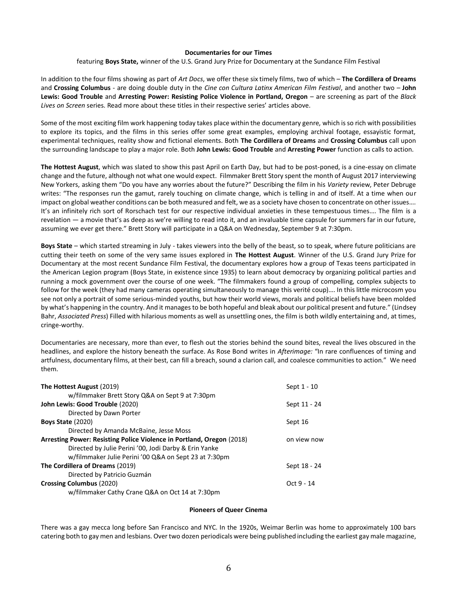### **Documentaries for our Times**

featuring **Boys State,** winner of the U.S. Grand Jury Prize for Documentary at the Sundance Film Festival

In addition to the four films showing as part of *Art Docs*, we offer these six timely films, two of which – **The Cordillera of Dreams** and **Crossing Columbus** - are doing double duty in the *Cine con Cultura Latinx American Film Festival*, and another two – **John Lewis: Good Trouble** and **Arresting Power: Resisting Police Violence in Portland, Oregon** – are screening as part of the *Black Lives on Screen* series. Read more about these titles in their respective series' articles above.

Some of the most exciting film work happening today takes place within the documentary genre, which is so rich with possibilities to explore its topics, and the films in this series offer some great examples, employing archival footage, essayistic format, experimental techniques, reality show and fictional elements. Both **The Cordillera of Dreams** and **Crossing Columbus** call upon the surrounding landscape to play a major role. Both **John Lewis: Good Trouble** and **Arresting Power** function as calls to action.

**The Hottest August**, which was slated to show this past April on Earth Day, but had to be post-poned, is a cine-essay on climate change and the future, although not what one would expect. Filmmaker Brett Story spent the month of August 2017 interviewing New Yorkers, asking them "Do you have any worries about the future?" Describing the film in his *Variety* review, Peter Debruge writes: "The responses run the gamut, rarely touching on climate change, which is telling in and of itself. At a time when our impact on global weather conditions can be both measured and felt, we as a society have chosen to concentrate on other issues…. It's an infinitely rich sort of Rorschach test for our respective individual anxieties in these tempestuous times…. The film is a revelation — a movie that's as deep as we're willing to read into it, and an invaluable time capsule for summers far in our future, assuming we ever get there." Brett Story will participate in a Q&A on Wednesday, September 9 at 7:30pm.

**Boys State** – which started streaming in July - takes viewers into the belly of the beast, so to speak, where future politicians are cutting their teeth on some of the very same issues explored in **The Hottest August**. Winner of the U.S. Grand Jury Prize for Documentary at the most recent Sundance Film Festival, the documentary explores how a group of Texas teens participated in the American Legion program (Boys State, in existence since 1935) to learn about democracy by organizing political parties and running a mock government over the course of one week. "The filmmakers found a group of compelling, complex subjects to follow for the week (they had many cameras operating simultaneously to manage this verité coup)…. In this little microcosm you see not only a portrait of some serious-minded youths, but how their world views, morals and political beliefs have been molded by what's happening in the country. And it manages to be both hopeful and bleak about our political present and future." (Lindsey Bahr, *Associated Press*) Filled with hilarious moments as well as unsettling ones, the film is both wildly entertaining and, at times, cringe-worthy.

Documentaries are necessary, more than ever, to flesh out the stories behind the sound bites, reveal the lives obscured in the headlines, and explore the history beneath the surface. As Rose Bond writes in *Afterimage:* "In rare confluences of timing and artfulness, documentary films, at their best, can fill a breach, sound a clarion call, and coalesce communities to action." We need them.

| The Hottest August (2019)                                             | Sept 1 - 10  |
|-----------------------------------------------------------------------|--------------|
| w/filmmaker Brett Story Q&A on Sept 9 at 7:30pm                       |              |
| John Lewis: Good Trouble (2020)                                       | Sept 11 - 24 |
| Directed by Dawn Porter                                               |              |
| <b>Boys State (2020)</b>                                              | Sept 16      |
| Directed by Amanda McBaine, Jesse Moss                                |              |
| Arresting Power: Resisting Police Violence in Portland, Oregon (2018) | on view now  |
| Directed by Julie Perini '00, Jodi Darby & Erin Yanke                 |              |
| w/filmmaker Julie Perini '00 Q&A on Sept 23 at 7:30pm                 |              |
| The Cordillera of Dreams (2019)                                       | Sept 18 - 24 |
| Directed by Patricio Guzmán                                           |              |
| Crossing Columbus (2020)                                              | Oct 9 - 14   |
| w/filmmaker Cathy Crane Q&A on Oct 14 at 7:30pm                       |              |

### **Pioneers of Queer Cinema**

There was a gay mecca long before San Francisco and NYC. In the 1920s, Weimar Berlin was home to approximately 100 bars catering both to gay men and lesbians. Over two dozen periodicals were being published including the earliest gay male magazine,